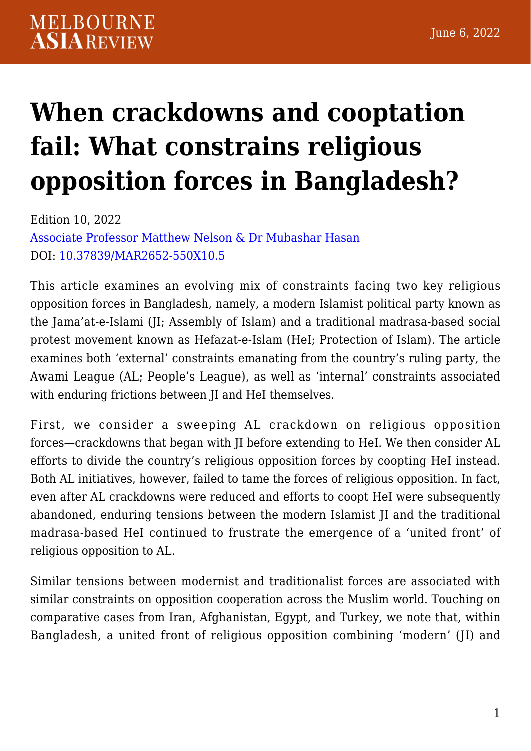# **[When crackdowns and cooptation](https://melbourneasiareview.edu.au/when-crackdowns-and-cooptation-fail-what-constrains-religious-opposition-forces-in-bangladesh/) [fail: What constrains religious](https://melbourneasiareview.edu.au/when-crackdowns-and-cooptation-fail-what-constrains-religious-opposition-forces-in-bangladesh/) [opposition forces in Bangladesh?](https://melbourneasiareview.edu.au/when-crackdowns-and-cooptation-fail-what-constrains-religious-opposition-forces-in-bangladesh/)**

Edition 10, 2022 Associate Professor Matthew Nelson & Dr Mubashar Hasan DOI: 10.37839/MAR2652-550X10.5

This article examines an evolving mix of constraints facing two key religious opposition forces in Bangladesh, namely, a modern Islamist political party known as the Jama'at-e-Islami (JI; Assembly of Islam) and a traditional madrasa-based social protest movement known as Hefazat-e-Islam (HeI; Protection of Islam). The article examines both 'external' constraints emanating from the country's ruling party, the Awami League (AL; People's League), as well as 'internal' constraints associated with enduring frictions between JI and HeI themselves.

First, we consider a sweeping AL crackdown on religious opposition forces—crackdowns that began with JI before extending to HeI. We then consider AL efforts to divide the country's religious opposition forces by coopting HeI instead. Both AL initiatives, however, failed to tame the forces of religious opposition. In fact, even after AL crackdowns were reduced and efforts to coopt HeI were subsequently abandoned, enduring tensions between the modern Islamist JI and the traditional madrasa-based HeI continued to frustrate the emergence of a 'united front' of religious opposition to AL.

Similar tensions between modernist and traditionalist forces are associated with similar constraints on opposition cooperation across the Muslim world. Touching on comparative cases from Iran, Afghanistan, Egypt, and Turkey, we note that, within Bangladesh, a united front of religious opposition combining 'modern' (JI) and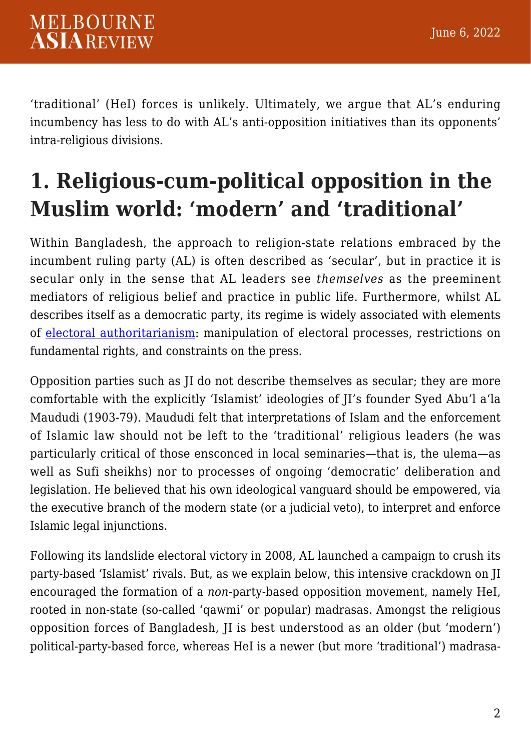'traditional' (HeI) forces is unlikely. Ultimately, we argue that AL's enduring incumbency has less to do with AL's anti-opposition initiatives than its opponents' intra-religious divisions.

## **1. Religious-cum-political opposition in the Muslim world: 'modern' and 'traditional'**

Within Bangladesh, the approach to religion-state relations embraced by the incumbent ruling party (AL) is often described as 'secular', but in practice it is secular only in the sense that AL leaders see *themselves* as the preeminent mediators of religious belief and practice in public life. Furthermore, whilst AL describes itself as a democratic party, its regime is widely associated with elements of [electoral authoritarianism](https://www.cambridge.org/core/journals/politics-and-religion/article/abs/rise-of-competitive-authoritarianism-in-bangladesh/90880ED7FDB913D92E9E337163A67862): manipulation of electoral processes, restrictions on fundamental rights, and constraints on the press.

Opposition parties such as JI do not describe themselves as secular; they are more comfortable with the explicitly 'Islamist' ideologies of JI's founder Syed Abu'l a'la Maududi (1903-79). Maududi felt that interpretations of Islam and the enforcement of Islamic law should not be left to the 'traditional' religious leaders (he was particularly critical of those ensconced in local seminaries—that is, the ulema—as well as Sufi sheikhs) nor to processes of ongoing 'democratic' deliberation and legislation. He believed that his own ideological vanguard should be empowered, via the executive branch of the modern state (or a judicial veto), to interpret and enforce Islamic legal injunctions.

Following its landslide electoral victory in 2008, AL launched a campaign to crush its party-based 'Islamist' rivals. But, as we explain below, this intensive crackdown on JI encouraged the formation of a *non*-party-based opposition movement, namely HeI, rooted in non-state (so-called 'qawmi' or popular) madrasas. Amongst the religious opposition forces of Bangladesh, JI is best understood as an older (but 'modern') political-party-based force, whereas HeI is a newer (but more 'traditional') madrasa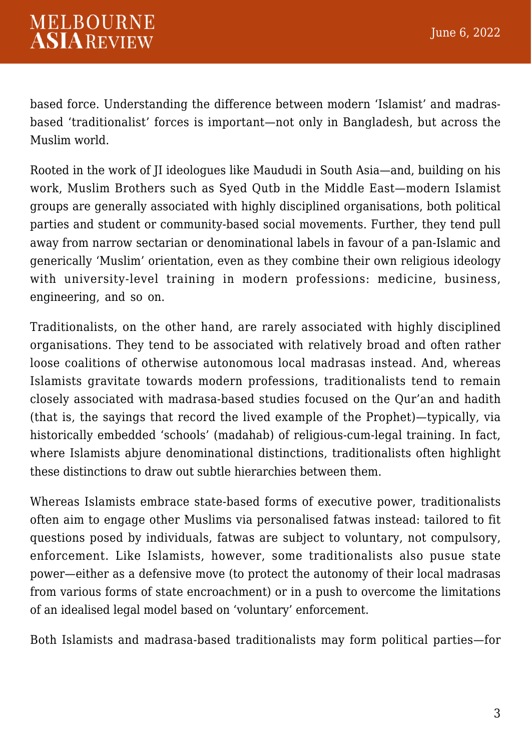based force. Understanding the difference between modern 'Islamist' and madrasbased 'traditionalist' forces is important—not only in Bangladesh, but across the Muslim world.

Rooted in the work of JI ideologues like Maududi in South Asia—and, building on his work, Muslim Brothers such as Syed Qutb in the Middle East—modern Islamist groups are generally associated with highly disciplined organisations, both political parties and student or community-based social movements. Further, they tend pull away from narrow sectarian or denominational labels in favour of a pan-Islamic and generically 'Muslim' orientation, even as they combine their own religious ideology with university-level training in modern professions: medicine, business, engineering, and so on.

Traditionalists, on the other hand, are rarely associated with highly disciplined organisations. They tend to be associated with relatively broad and often rather loose coalitions of otherwise autonomous local madrasas instead. And, whereas Islamists gravitate towards modern professions, traditionalists tend to remain closely associated with madrasa-based studies focused on the Qur'an and hadith (that is, the sayings that record the lived example of the Prophet)—typically, via historically embedded 'schools' (madahab) of religious-cum-legal training. In fact, where Islamists abjure denominational distinctions, traditionalists often highlight these distinctions to draw out subtle hierarchies between them.

Whereas Islamists embrace state-based forms of executive power, traditionalists often aim to engage other Muslims via personalised fatwas instead: tailored to fit questions posed by individuals, fatwas are subject to voluntary, not compulsory, enforcement. Like Islamists, however, some traditionalists also pusue state power—either as a defensive move (to protect the autonomy of their local madrasas from various forms of state encroachment) or in a push to overcome the limitations of an idealised legal model based on 'voluntary' enforcement.

Both Islamists and madrasa-based traditionalists may form political parties—for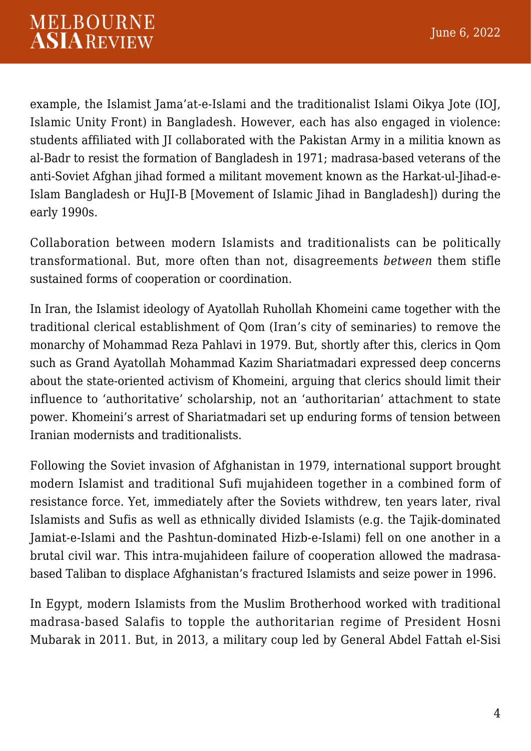example, the Islamist Jama'at-e-Islami and the traditionalist Islami Oikya Jote (IOJ, Islamic Unity Front) in Bangladesh. However, each has also engaged in violence: students affiliated with JI collaborated with the Pakistan Army in a militia known as al-Badr to resist the formation of Bangladesh in 1971; madrasa-based veterans of the anti-Soviet Afghan jihad formed a militant movement known as the Harkat-ul-Jihad-e-Islam Bangladesh or HuJI-B [Movement of Islamic Jihad in Bangladesh]) during the early 1990s.

Collaboration between modern Islamists and traditionalists can be politically transformational. But, more often than not, disagreements *between* them stifle sustained forms of cooperation or coordination.

In Iran, the Islamist ideology of Ayatollah Ruhollah Khomeini came together with the traditional clerical establishment of Qom (Iran's city of seminaries) to remove the monarchy of Mohammad Reza Pahlavi in 1979. But, shortly after this, clerics in Qom such as Grand Ayatollah Mohammad Kazim Shariatmadari expressed deep concerns about the state-oriented activism of Khomeini, arguing that clerics should limit their influence to 'authoritative' scholarship, not an 'authoritarian' attachment to state power. Khomeini's arrest of Shariatmadari set up enduring forms of tension between Iranian modernists and traditionalists.

Following the Soviet invasion of Afghanistan in 1979, international support brought modern Islamist and traditional Sufi mujahideen together in a combined form of resistance force. Yet, immediately after the Soviets withdrew, ten years later, rival Islamists and Sufis as well as ethnically divided Islamists (e.g. the Tajik-dominated Jamiat-e-Islami and the Pashtun-dominated Hizb-e-Islami) fell on one another in a brutal civil war. This intra-mujahideen failure of cooperation allowed the madrasabased Taliban to displace Afghanistan's fractured Islamists and seize power in 1996.

In Egypt, modern Islamists from the Muslim Brotherhood worked with traditional madrasa-based Salafis to topple the authoritarian regime of President Hosni Mubarak in 2011. But, in 2013, a military coup led by General Abdel Fattah el-Sisi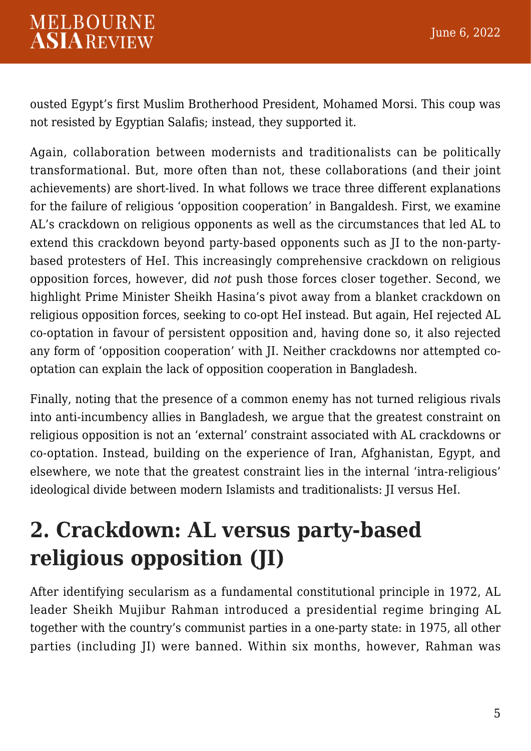ousted Egypt's first Muslim Brotherhood President, Mohamed Morsi. This coup was not resisted by Egyptian Salafis; instead, they supported it.

Again, collaboration between modernists and traditionalists can be politically transformational. But, more often than not, these collaborations (and their joint achievements) are short-lived. In what follows we trace three different explanations for the failure of religious 'opposition cooperation' in Bangaldesh. First, we examine AL's crackdown on religious opponents as well as the circumstances that led AL to extend this crackdown beyond party-based opponents such as JI to the non-partybased protesters of HeI. This increasingly comprehensive crackdown on religious opposition forces, however, did *not* push those forces closer together. Second, we highlight Prime Minister Sheikh Hasina's pivot away from a blanket crackdown on religious opposition forces, seeking to co-opt HeI instead. But again, HeI rejected AL co-optation in favour of persistent opposition and, having done so, it also rejected any form of 'opposition cooperation' with JI. Neither crackdowns nor attempted cooptation can explain the lack of opposition cooperation in Bangladesh.

Finally, noting that the presence of a common enemy has not turned religious rivals into anti-incumbency allies in Bangladesh, we argue that the greatest constraint on religious opposition is not an 'external' constraint associated with AL crackdowns or co-optation. Instead, building on the experience of Iran, Afghanistan, Egypt, and elsewhere, we note that the greatest constraint lies in the internal 'intra-religious' ideological divide between modern Islamists and traditionalists: JI versus HeI.

## **2. Crackdown: AL versus party-based religious opposition (JI)**

After identifying secularism as a fundamental constitutional principle in 1972, AL leader Sheikh Mujibur Rahman introduced a presidential regime bringing AL together with the country's communist parties in a one-party state: in 1975, all other parties (including JI) were banned. Within six months, however, Rahman was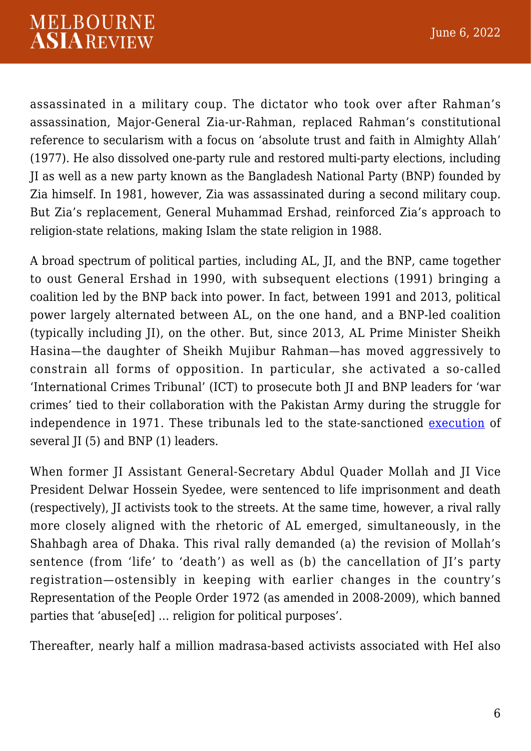assassinated in a military coup. The dictator who took over after Rahman's assassination, Major-General Zia-ur-Rahman, replaced Rahman's constitutional reference to secularism with a focus on 'absolute trust and faith in Almighty Allah' (1977). He also dissolved one-party rule and restored multi-party elections, including JI as well as a new party known as the Bangladesh National Party (BNP) founded by Zia himself. In 1981, however, Zia was assassinated during a second military coup. But Zia's replacement, General Muhammad Ershad, reinforced Zia's approach to religion-state relations, making Islam the state religion in 1988.

A broad spectrum of political parties, including AL, JI, and the BNP, came together to oust General Ershad in 1990, with subsequent elections (1991) bringing a coalition led by the BNP back into power. In fact, between 1991 and 2013, political power largely alternated between AL, on the one hand, and a BNP-led coalition (typically including JI), on the other. But, since 2013, AL Prime Minister Sheikh Hasina—the daughter of Sheikh Mujibur Rahman—has moved aggressively to constrain all forms of opposition. In particular, she activated a so-called 'International Crimes Tribunal' (ICT) to prosecute both JI and BNP leaders for 'war crimes' tied to their collaboration with the Pakistan Army during the struggle for independence in 1971. These tribunals led to the state-sanctioned [execution](https://www.bbc.com/news/world-asia-20970123) of several JI (5) and BNP (1) leaders.

When former JI Assistant General-Secretary Abdul Quader Mollah and JI Vice President Delwar Hossein Syedee, were sentenced to life imprisonment and death (respectively), JI activists took to the streets. At the same time, however, a rival rally more closely aligned with the rhetoric of AL emerged, simultaneously, in the Shahbagh area of Dhaka. This rival rally demanded (a) the revision of Mollah's sentence (from 'life' to 'death') as well as (b) the cancellation of II's party registration—ostensibly in keeping with earlier changes in the country's Representation of the People Order 1972 (as amended in 2008-2009), which banned parties that 'abuse[ed] … religion for political purposes'.

Thereafter, nearly half a million madrasa-based activists associated with HeI also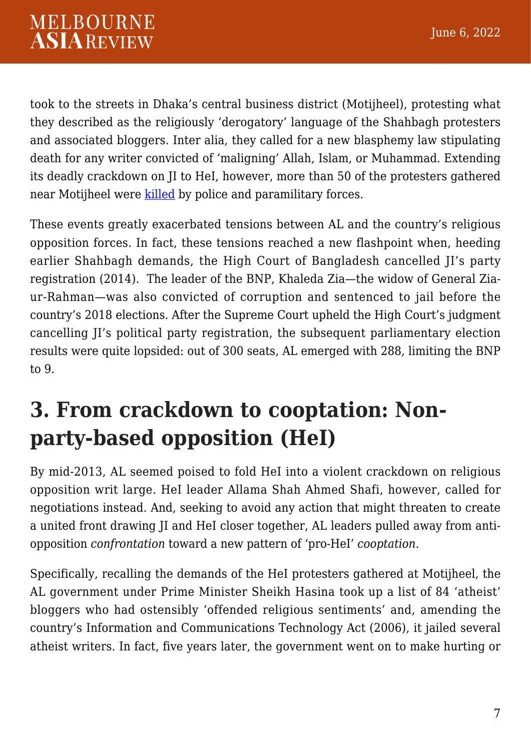took to the streets in Dhaka's central business district (Motijheel), protesting what they described as the religiously 'derogatory' language of the Shahbagh protesters and associated bloggers. Inter alia, they called for a new blasphemy law stipulating death for any writer convicted of 'maligning' Allah, Islam, or Muhammad. Extending its deadly crackdown on JI to HeI, however, more than 50 of the protesters gathered near Motijheel were [killed](https://www.hrw.org/report/2013/08/01/blood-streets/use-excessive-force-during-bangladesh-protests) by police and paramilitary forces.

These events greatly exacerbated tensions between AL and the country's religious opposition forces. In fact, these tensions reached a new flashpoint when, heeding earlier Shahbagh demands, the High Court of Bangladesh cancelled JI's party registration (2014). The leader of the BNP, Khaleda Zia—the widow of General Ziaur-Rahman—was also convicted of corruption and sentenced to jail before the country's 2018 elections. After the Supreme Court upheld the High Court's judgment cancelling JI's political party registration, the subsequent parliamentary election results were quite lopsided: out of 300 seats, AL emerged with 288, limiting the BNP to 9.

#### **3. From crackdown to cooptation: Nonparty-based opposition (HeI)**

By mid-2013, AL seemed poised to fold HeI into a violent crackdown on religious opposition writ large. HeI leader Allama Shah Ahmed Shafi, however, called for negotiations instead. And, seeking to avoid any action that might threaten to create a united front drawing JI and HeI closer together, AL leaders pulled away from antiopposition *confrontation* toward a new pattern of 'pro-HeI' *cooptation*.

Specifically, recalling the demands of the HeI protesters gathered at Motijheel, the AL government under Prime Minister Sheikh Hasina took up a list of 84 'atheist' bloggers who had ostensibly 'offended religious sentiments' and, amending the country's Information and Communications Technology Act (2006), it jailed several atheist writers. In fact, five years later, the government went on to make hurting or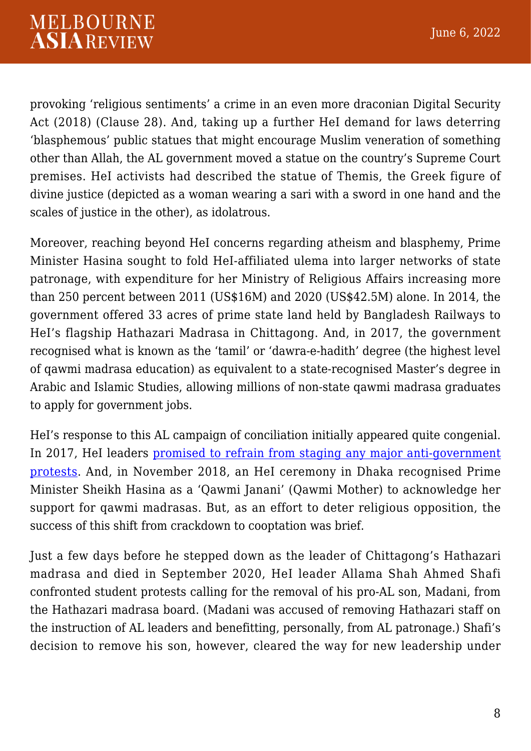provoking 'religious sentiments' a crime in an even more draconian Digital Security Act (2018) (Clause 28). And, taking up a further HeI demand for laws deterring 'blasphemous' public statues that might encourage Muslim veneration of something other than Allah, the AL government moved a statue on the country's Supreme Court premises. HeI activists had described the statue of Themis, the Greek figure of divine justice (depicted as a woman wearing a sari with a sword in one hand and the scales of justice in the other), as idolatrous.

Moreover, reaching beyond HeI concerns regarding atheism and blasphemy, Prime Minister Hasina sought to fold HeI-affiliated ulema into larger networks of state patronage, with expenditure for her Ministry of Religious Affairs increasing more than 250 percent between 2011 (US\$16M) and 2020 (US\$42.5M) alone. In 2014, the government offered 33 acres of prime state land held by Bangladesh Railways to HeI's flagship Hathazari Madrasa in Chittagong. And, in 2017, the government recognised what is known as the 'tamil' or 'dawra-e-hadith' degree (the highest level of qawmi madrasa education) as equivalent to a state-recognised Master's degree in Arabic and Islamic Studies, allowing millions of non-state qawmi madrasa graduates to apply for government jobs.

HeI's response to this AL campaign of conciliation initially appeared quite congenial. In 2017, HeI leaders [promised to refrain from staging any major anti-government](https://www.cambridge.org/core/journals/politics-and-religion/article/islamization-by-secular-ruling-parties-the-case-of-bangladesh/4EA977E6AC7DAFFFB95876E465E43A7E) [protests](https://www.cambridge.org/core/journals/politics-and-religion/article/islamization-by-secular-ruling-parties-the-case-of-bangladesh/4EA977E6AC7DAFFFB95876E465E43A7E). And, in November 2018, an HeI ceremony in Dhaka recognised Prime Minister Sheikh Hasina as a 'Qawmi Janani' (Qawmi Mother) to acknowledge her support for qawmi madrasas. But, as an effort to deter religious opposition, the success of this shift from crackdown to cooptation was brief.

Just a few days before he stepped down as the leader of Chittagong's Hathazari madrasa and died in September 2020, HeI leader Allama Shah Ahmed Shafi confronted student protests calling for the removal of his pro-AL son, Madani, from the Hathazari madrasa board. (Madani was accused of removing Hathazari staff on the instruction of AL leaders and benefitting, personally, from AL patronage.) Shafi's decision to remove his son, however, cleared the way for new leadership under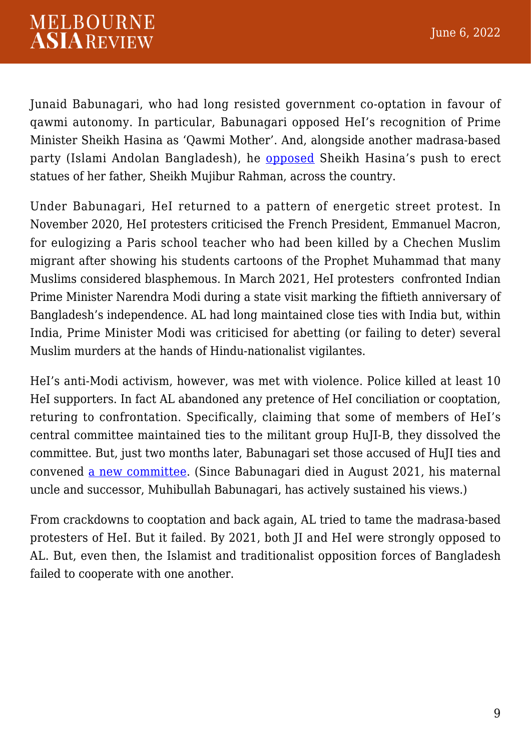Junaid Babunagari, who had long resisted government co-optation in favour of qawmi autonomy. In particular, Babunagari opposed HeI's recognition of Prime Minister Sheikh Hasina as 'Qawmi Mother'. And, alongside another madrasa-based party (Islami Andolan Bangladesh), he [opposed](https://www.youtube.com/watch?v=P9gR4bxCppM) Sheikh Hasina's push to erect statues of her father, Sheikh Mujibur Rahman, across the country.

Under Babunagari, HeI returned to a pattern of energetic street protest. In November 2020, HeI protesters criticised the French President, Emmanuel Macron, for eulogizing a Paris school teacher who had been killed by a Chechen Muslim migrant after showing his students cartoons of the Prophet Muhammad that many Muslims considered blasphemous. In March 2021, HeI protesters confronted Indian Prime Minister Narendra Modi during a state visit marking the fiftieth anniversary of Bangladesh's independence. AL had long maintained close ties with India but, within India, Prime Minister Modi was criticised for abetting (or failing to deter) several Muslim murders at the hands of Hindu-nationalist vigilantes.

HeI's anti-Modi activism, however, was met with violence. Police killed at least 10 HeI supporters. In fact AL abandoned any pretence of HeI conciliation or cooptation, returing to confrontation. Specifically, claiming that some of members of HeI's central committee maintained ties to the militant group HuJI-B, they dissolved the committee. But, just two months later, Babunagari set those accused of HuJI ties and convened [a new committee](https://www.dhakatribune.com/bangladesh/politics/2021/06/07/new-hefazat-e-islam-committee-excludes-mamunul-keeps-babunagari-as-chief). (Since Babunagari died in August 2021, his maternal uncle and successor, Muhibullah Babunagari, has actively sustained his views.)

From crackdowns to cooptation and back again, AL tried to tame the madrasa-based protesters of HeI. But it failed. By 2021, both JI and HeI were strongly opposed to AL. But, even then, the Islamist and traditionalist opposition forces of Bangladesh failed to cooperate with one another.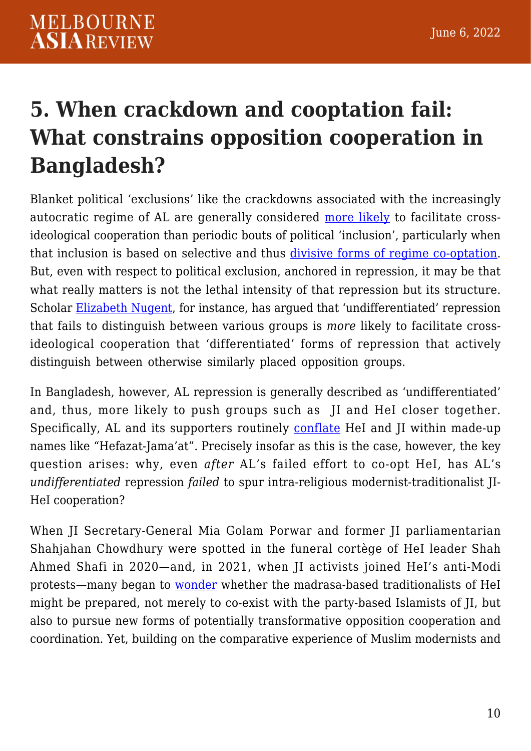## **5. When crackdown and cooptation fail: What constrains opposition cooperation in Bangladesh?**

Blanket political 'exclusions' like the crackdowns associated with the increasingly autocratic regime of AL are generally considered [more likely](https://www.jstor.org/stable/25741389) to facilitate crossideological cooperation than periodic bouts of political 'inclusion', particularly when that inclusion is based on selective and thus [divisive forms of regime co-optation.](https://www.researchgate.net/publication/254232055_Left-Islamist_Opposition_Cooperation_in_Morocco) But, even with respect to political exclusion, anchored in repression, it may be that what really matters is not the lethal intensity of that repression but its structure. Scholar [Elizabeth Nugent](https://press.princeton.edu/books/hardcover/9780691203065/after-repression), for instance, has argued that 'undifferentiated' repression that fails to distinguish between various groups is *more* likely to facilitate crossideological cooperation that 'differentiated' forms of repression that actively distinguish between otherwise similarly placed opposition groups.

In Bangladesh, however, AL repression is generally described as 'undifferentiated' and, thus, more likely to push groups such as JI and HeI closer together. Specifically, AL and its supporters routinely [conflate](https://www.vifindia.org/article/2018/november/06/bangladesh-elections-growing-influence-of-hefazat) HeI and JI within made-up names like "Hefazat-Jama'at". Precisely insofar as this is the case, however, the key question arises: why, even *after* AL's failed effort to co-opt HeI, has AL's *undifferentiated* repression *failed* to spur intra-religious modernist-traditionalist JI-HeI cooperation?

When JI Secretary-General Mia Golam Porwar and former JI parliamentarian Shahjahan Chowdhury were spotted in the funeral cortège of HeI leader Shah Ahmed Shafi in 2020—and, in 2021, when JI activists joined HeI's anti-Modi protests—many began to [wonder](https://en.prothomalo.com/bangladesh/politics/jamaat-shibir-men-join-programmes-of-hefazat-e-islam-islamic-gonotantrik-party) whether the madrasa-based traditionalists of HeI might be prepared, not merely to co-exist with the party-based Islamists of JI, but also to pursue new forms of potentially transformative opposition cooperation and coordination. Yet, building on the comparative experience of Muslim modernists and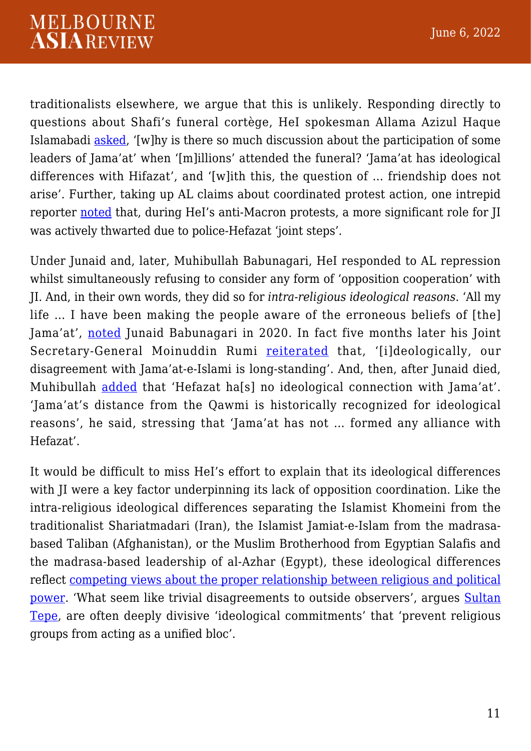traditionalists elsewhere, we argue that this is unlikely. Responding directly to questions about Shafi's funeral cortège, HeI spokesman Allama Azizul Haque Islamabadi [asked](https://www.ekusheypatrika.com/archives/116980), '[w]hy is there so much discussion about the participation of some leaders of Jama'at' when '[m]illions' attended the funeral? 'Jama'at has ideological differences with Hifazat', and '[w]ith this, the question of … friendship does not arise'. Further, taking up AL claims about coordinated protest action, one intrepid reporter [noted](https://newsnextbd.com/jamaats-plan-to-stir-violence-using-hefazot-fizzles-out/) that, during HeI's anti-Macron protests, a more significant role for JI was actively thwarted due to police-Hefazat 'joint steps'.

Under Junaid and, later, Muhibullah Babunagari, HeI responded to AL repression whilst simultaneously refusing to consider any form of 'opposition cooperation' with JI. And, in their own words, they did so for *intra-religious ideological reasons*. 'All my life … I have been making the people aware of the erroneous beliefs of [the] Jama'at', [noted](https://www.somoynews.tv/pages/details/221519/‘জামায়াতের-সঙ্গে-আমার-সম্পর্ক-নেই’-শফীপুত্রের-বিরুদ্ধে-মুখ-খুললেন-বাবুনগরী.) Junaid Babunagari in 2020. In fact five months later his Joint Secretary-General Moinuddin Rumi [reiterated](https://www.somoynews.tv/pages/details/246869/‘হেফাজতের-দখল-নিতে-জামায়াত-শিবির-নানামুখী-চক্রান্ত-করছে’) that, '[i]deologically, our disagreement with Jama'at-e-Islami is long-standing'. And, then, after Junaid died, Muhibullah [added](https://www.kalerkantho.com/online/country-news/2021/09/18/1074537) that 'Hefazat ha[s] no ideological connection with Jama'at'. 'Jama'at's distance from the Qawmi is historically recognized for ideological reasons', he said, stressing that 'Jama'at has not … formed any alliance with Hefazat'.

It would be difficult to miss HeI's effort to explain that its ideological differences with JI were a key factor underpinning its lack of opposition coordination. Like the intra-religious ideological differences separating the Islamist Khomeini from the traditionalist Shariatmadari (Iran), the Islamist Jamiat-e-Islam from the madrasabased Taliban (Afghanistan), or the Muslim Brotherhood from Egyptian Salafis and the madrasa-based leadership of al-Azhar (Egypt), these ideological differences reflect [competing views about the proper relationship between religious and political](https://brill.com/view/journals/melg/11/2/article-p136_136.xml) [power](https://brill.com/view/journals/melg/11/2/article-p136_136.xml). 'What seem like trivial disagreements to outside observers', argues [Sultan](https://www.jstor.org/stable/41635249) [Tepe](https://www.jstor.org/stable/41635249), are often deeply divisive 'ideological commitments' that 'prevent religious groups from acting as a unified bloc'.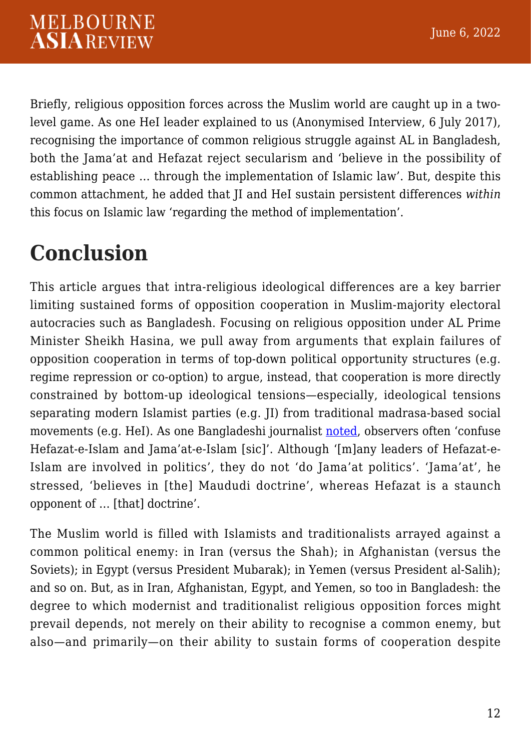Briefly, religious opposition forces across the Muslim world are caught up in a twolevel game. As one HeI leader explained to us (Anonymised Interview, 6 July 2017), recognising the importance of common religious struggle against AL in Bangladesh, both the Jama'at and Hefazat reject secularism and 'believe in the possibility of establishing peace … through the implementation of Islamic law'. But, despite this common attachment, he added that JI and HeI sustain persistent differences *within* this focus on Islamic law 'regarding the method of implementation'.

#### **Conclusion**

This article argues that intra-religious ideological differences are a key barrier limiting sustained forms of opposition cooperation in Muslim-majority electoral autocracies such as Bangladesh. Focusing on religious opposition under AL Prime Minister Sheikh Hasina, we pull away from arguments that explain failures of opposition cooperation in terms of top-down political opportunity structures (e.g. regime repression or co-option) to argue, instead, that cooperation is more directly constrained by bottom-up ideological tensions—especially, ideological tensions separating modern Islamist parties (e.g. JI) from traditional madrasa-based social movements (e.g. HeI). As one Bangladeshi journalist [noted,](http://www.bbccrimenews24.net/details.php?id=486) observers often 'confuse Hefazat-e-Islam and Jama'at-e-Islam [sic]'. Although '[m]any leaders of Hefazat-e-Islam are involved in politics', they do not 'do Jama'at politics'. 'Jama'at', he stressed, 'believes in [the] Maududi doctrine', whereas Hefazat is a staunch opponent of … [that] doctrine'.

The Muslim world is filled with Islamists and traditionalists arrayed against a common political enemy: in Iran (versus the Shah); in Afghanistan (versus the Soviets); in Egypt (versus President Mubarak); in Yemen (versus President al-Salih); and so on. But, as in Iran, Afghanistan, Egypt, and Yemen, so too in Bangladesh: the degree to which modernist and traditionalist religious opposition forces might prevail depends, not merely on their ability to recognise a common enemy, but also—and primarily—on their ability to sustain forms of cooperation despite